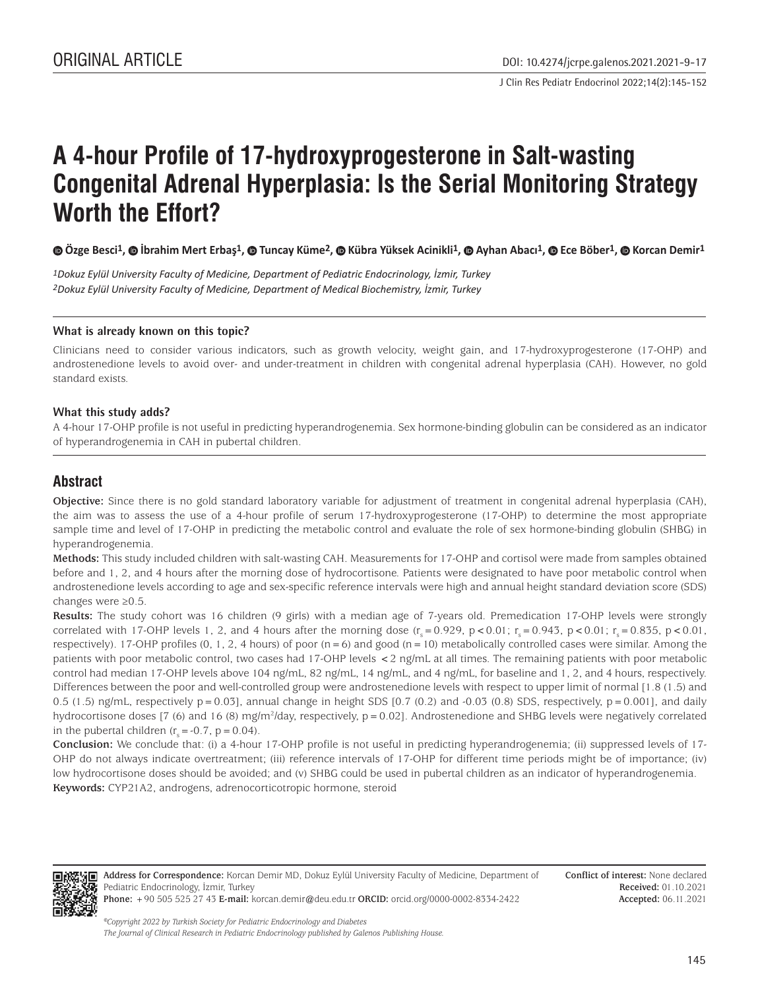J Clin Res Pediatr Endocrinol 2022;14(2):145-152

# **A 4-hour Profile of 17-hydroxyprogesterone in Salt-wasting Congenital Adrenal Hyperplasia: Is the Serial Monitoring Strategy Worth the Effort?**

**Özge Besci1, İbrahim Mert Erbaş1, Tuncay Küme2, Kübra Yüksek Acinikli1, Ayhan Abacı1, Ece Böber1, Korcan Demir1**

*1Dokuz Eylül University Faculty of Medicine, Department of Pediatric Endocrinology, İzmir, Turkey 2Dokuz Eylül University Faculty of Medicine, Department of Medical Biochemistry, İzmir, Turkey*

#### **What is already known on this topic?**

Clinicians need to consider various indicators, such as growth velocity, weight gain, and 17-hydroxyprogesterone (17-OHP) and androstenedione levels to avoid over- and under-treatment in children with congenital adrenal hyperplasia (CAH). However, no gold standard exists.

#### **What this study adds?**

A 4-hour 17-OHP profile is not useful in predicting hyperandrogenemia. Sex hormone-binding globulin can be considered as an indicator of hyperandrogenemia in CAH in pubertal children.

## **Abstract**

**Objective:** Since there is no gold standard laboratory variable for adjustment of treatment in congenital adrenal hyperplasia (CAH), the aim was to assess the use of a 4-hour profile of serum 17-hydroxyprogesterone (17-OHP) to determine the most appropriate sample time and level of 17-OHP in predicting the metabolic control and evaluate the role of sex hormone-binding globulin (SHBG) in hyperandrogenemia.

**Methods:** This study included children with salt-wasting CAH. Measurements for 17-OHP and cortisol were made from samples obtained before and 1, 2, and 4 hours after the morning dose of hydrocortisone. Patients were designated to have poor metabolic control when androstenedione levels according to age and sex-specific reference intervals were high and annual height standard deviation score (SDS) changes were ≥0.5.

**Results:** The study cohort was 16 children (9 girls) with a median age of 7-years old. Premedication 17-OHP levels were strongly correlated with 17-OHP levels 1, 2, and 4 hours after the morning dose  $(r_s = 0.929, p < 0.01; r_s = 0.943, p < 0.01; r_s = 0.835, p < 0.01,$ respectively). 17-OHP profiles (0, 1, 2, 4 hours) of poor  $(n = 6)$  and good  $(n = 10)$  metabolically controlled cases were similar. Among the patients with poor metabolic control, two cases had 17-OHP levels <2 ng/mL at all times. The remaining patients with poor metabolic control had median 17-OHP levels above 104 ng/mL, 82 ng/mL, 14 ng/mL, and 4 ng/mL, for baseline and 1, 2, and 4 hours, respectively. Differences between the poor and well-controlled group were androstenedione levels with respect to upper limit of normal [1.8 (1.5) and 0.5 (1.5) ng/mL, respectively  $p = 0.03$ ], annual change in height SDS [0.7 (0.2) and -0.03 (0.8) SDS, respectively,  $p = 0.001$ ], and daily hydrocortisone doses [7 (6) and 16 (8) mg/m2 /day, respectively, p=0.02]. Androstenedione and SHBG levels were negatively correlated in the pubertal children  $(r<sub>s</sub> = -0.7, p = 0.04)$ .

**Conclusion:** We conclude that: (i) a 4-hour 17-OHP profile is not useful in predicting hyperandrogenemia; (ii) suppressed levels of 17- OHP do not always indicate overtreatment; (iii) reference intervals of 17-OHP for different time periods might be of importance; (iv) low hydrocortisone doses should be avoided; and (v) SHBG could be used in pubertal children as an indicator of hyperandrogenemia. **Keywords:** CYP21A2, androgens, adrenocorticotropic hormone, steroid



**Address for Correspondence:** Korcan Demir MD, Dokuz Eylül University Faculty of Medicine, Department of Pediatric Endocrinology, İzmir, Turkey **Phone:** +90 505 525 27 43 **E-mail:** korcan.demir@deu.edu.tr **ORCID:** orcid.org/0000-0002-8334-2422

**Conflict of interest:** None declared **Received:** 01.10.2021 **Accepted:** 06.11.2021

*©Copyright 2022 by Turkish Society for Pediatric Endocrinology and Diabetes The Journal of Clinical Research in Pediatric Endocrinology published by Galenos Publishing House.*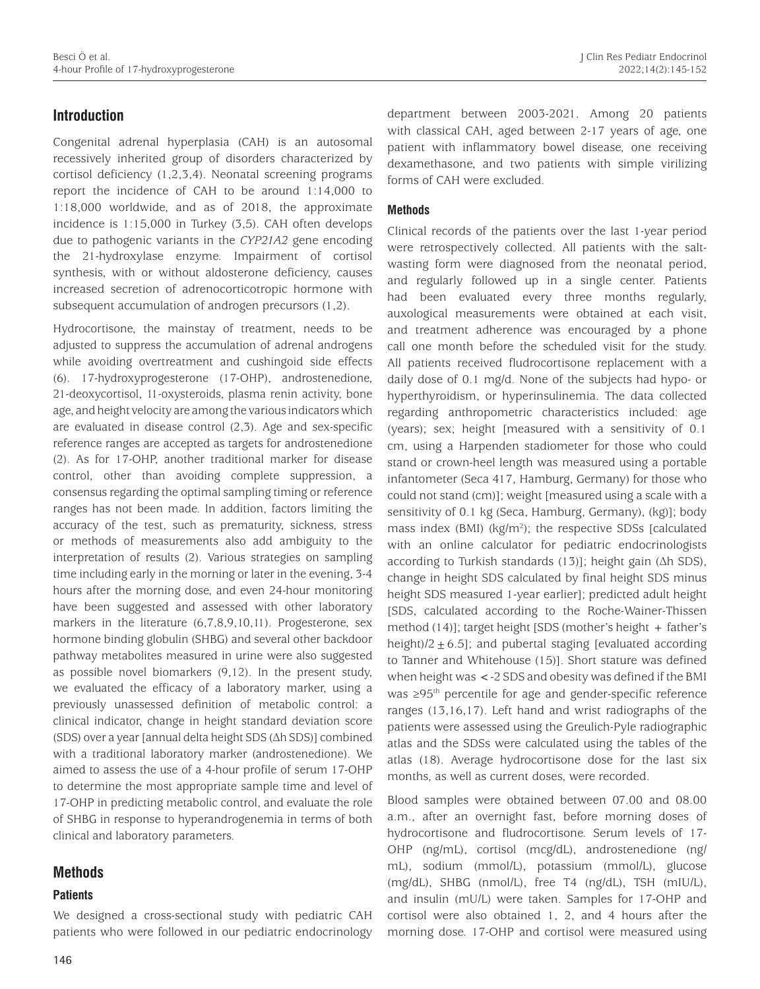# **Introduction**

Congenital adrenal hyperplasia (CAH) is an autosomal recessively inherited group of disorders characterized by cortisol deficiency (1,2,3,4). Neonatal screening programs report the incidence of CAH to be around 1:14,000 to 1:18,000 worldwide, and as of 2018, the approximate incidence is 1:15,000 in Turkey (3,5). CAH often develops due to pathogenic variants in the *CYP21A2* gene encoding the 21-hydroxylase enzyme. Impairment of cortisol synthesis, with or without aldosterone deficiency, causes increased secretion of adrenocorticotropic hormone with subsequent accumulation of androgen precursors (1,2).

Hydrocortisone, the mainstay of treatment, needs to be adjusted to suppress the accumulation of adrenal androgens while avoiding overtreatment and cushingoid side effects (6). 17-hydroxyprogesterone (17-OHP), androstenedione, 21-deoxycortisol, 11-oxysteroids, plasma renin activity, bone age, and height velocity are among the various indicators which are evaluated in disease control (2,3). Age and sex-specific reference ranges are accepted as targets for androstenedione (2). As for 17-OHP, another traditional marker for disease control, other than avoiding complete suppression, a consensus regarding the optimal sampling timing or reference ranges has not been made. In addition, factors limiting the accuracy of the test, such as prematurity, sickness, stress or methods of measurements also add ambiguity to the interpretation of results (2). Various strategies on sampling time including early in the morning or later in the evening, 3-4 hours after the morning dose, and even 24-hour monitoring have been suggested and assessed with other laboratory markers in the literature (6,7,8,9,10,11). Progesterone, sex hormone binding globulin (SHBG) and several other backdoor pathway metabolites measured in urine were also suggested as possible novel biomarkers (9,12). In the present study, we evaluated the efficacy of a laboratory marker, using a previously unassessed definition of metabolic control: a clinical indicator, change in height standard deviation score (SDS) over a year [annual delta height SDS (Δh SDS)] combined with a traditional laboratory marker (androstenedione). We aimed to assess the use of a 4-hour profile of serum 17-OHP to determine the most appropriate sample time and level of 17-OHP in predicting metabolic control, and evaluate the role of SHBG in response to hyperandrogenemia in terms of both clinical and laboratory parameters.

## **Methods**

## **Patients**

We designed a cross-sectional study with pediatric CAH patients who were followed in our pediatric endocrinology

department between 2003-2021. Among 20 patients with classical CAH, aged between 2-17 years of age, one patient with inflammatory bowel disease, one receiving dexamethasone, and two patients with simple virilizing forms of CAH were excluded.

#### **Methods**

Clinical records of the patients over the last 1-year period were retrospectively collected. All patients with the saltwasting form were diagnosed from the neonatal period, and regularly followed up in a single center. Patients had been evaluated every three months regularly, auxological measurements were obtained at each visit, and treatment adherence was encouraged by a phone call one month before the scheduled visit for the study. All patients received fludrocortisone replacement with a daily dose of 0.1 mg/d. None of the subjects had hypo- or hyperthyroidism, or hyperinsulinemia. The data collected regarding anthropometric characteristics included: age (years); sex; height [measured with a sensitivity of 0.1 cm, using a Harpenden stadiometer for those who could stand or crown-heel length was measured using a portable infantometer (Seca 417, Hamburg, Germany) for those who could not stand (cm)]; weight [measured using a scale with a sensitivity of 0.1 kg (Seca, Hamburg, Germany), (kg)]; body mass index (BMI) (kg/m<sup>2</sup>); the respective SDSs [calculated with an online calculator for pediatric endocrinologists according to Turkish standards (13)]; height gain (Δh SDS), change in height SDS calculated by final height SDS minus height SDS measured 1-year earlier]; predicted adult height [SDS, calculated according to the Roche-Wainer-Thissen method (14)]; target height [SDS (mother's height + father's height)/2 $\pm$  6.5]; and pubertal staging [evaluated according to Tanner and Whitehouse (15)]. Short stature was defined when height was <-2 SDS and obesity was defined if the BMI was ≥95<sup>th</sup> percentile for age and gender-specific reference ranges (13,16,17). Left hand and wrist radiographs of the patients were assessed using the Greulich-Pyle radiographic atlas and the SDSs were calculated using the tables of the atlas (18). Average hydrocortisone dose for the last six months, as well as current doses, were recorded.

Blood samples were obtained between 07.00 and 08.00 a.m., after an overnight fast, before morning doses of hydrocortisone and fludrocortisone. Serum levels of 17- OHP (ng/mL), cortisol (mcg/dL), androstenedione (ng/ mL), sodium (mmol/L), potassium (mmol/L), glucose (mg/dL), SHBG (nmol/L), free T4 (ng/dL), TSH (mIU/L), and insulin (mU/L) were taken. Samples for 17-OHP and cortisol were also obtained 1, 2, and 4 hours after the morning dose. 17-OHP and cortisol were measured using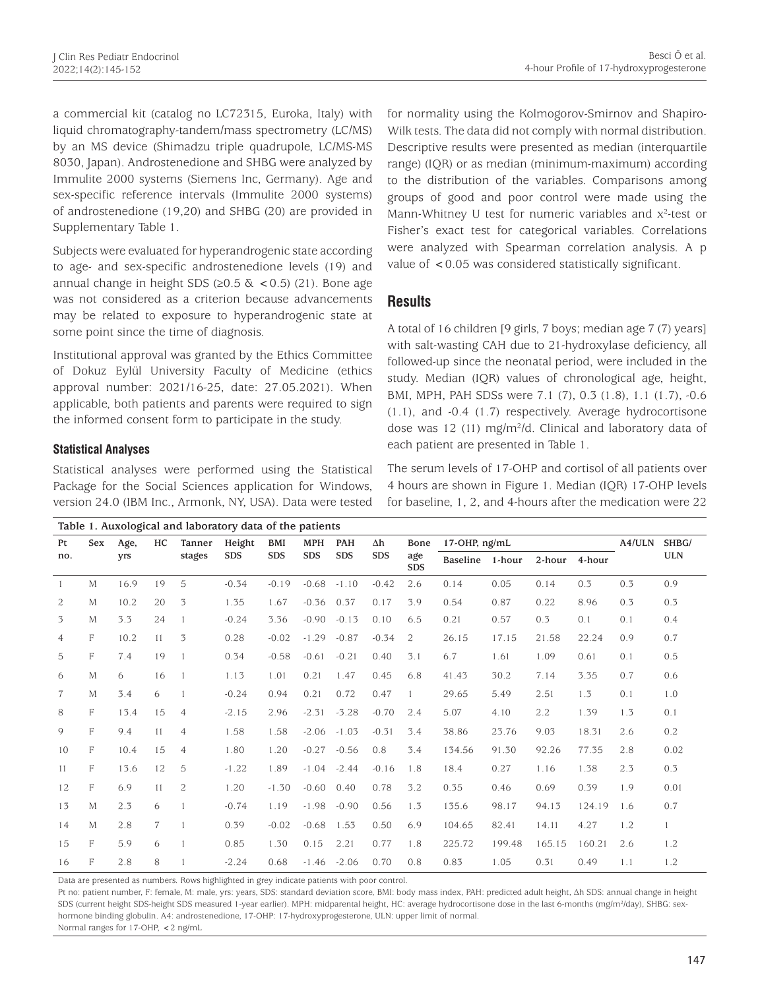a commercial kit (catalog no LC72315, Euroka, Italy) with liquid chromatography-tandem/mass spectrometry (LC/MS) by an MS device (Shimadzu triple quadrupole, LC/MS-MS 8030, Japan). Androstenedione and SHBG were analyzed by Immulite 2000 systems (Siemens Inc, Germany). Age and sex-specific reference intervals (Immulite 2000 systems) of androstenedione (19,20) and SHBG (20) are provided in Supplementary Table 1.

Subjects were evaluated for hyperandrogenic state according to age- and sex-specific androstenedione levels (19) and annual change in height SDS ( $\geq$ 0.5 & < 0.5) (21). Bone age was not considered as a criterion because advancements may be related to exposure to hyperandrogenic state at some point since the time of diagnosis.

Institutional approval was granted by the Ethics Committee of Dokuz Eylül University Faculty of Medicine (ethics approval number: 2021/16-25, date: 27.05.2021). When applicable, both patients and parents were required to sign the informed consent form to participate in the study.

### **Statistical Analyses**

Statistical analyses were performed using the Statistical Package for the Social Sciences application for Windows, version 24.0 (IBM Inc., Armonk, NY, USA). Data were tested for normality using the Kolmogorov-Smirnov and Shapiro-Wilk tests. The data did not comply with normal distribution. Descriptive results were presented as median (interquartile range) (IQR) or as median (minimum-maximum) according to the distribution of the variables. Comparisons among groups of good and poor control were made using the Mann-Whitney U test for numeric variables and  $x^2$ -test or Fisher's exact test for categorical variables. Correlations were analyzed with Spearman correlation analysis. A p value of <0.05 was considered statistically significant.

## **Results**

A total of 16 children [9 girls, 7 boys; median age 7 (7) years] with salt-wasting CAH due to 21-hydroxylase deficiency, all followed-up since the neonatal period, were included in the study. Median (IQR) values of chronological age, height, BMI, MPH, PAH SDSs were 7.1 (7), 0.3 (1.8), 1.1 (1.7), -0.6 (1.1), and -0.4 (1.7) respectively. Average hydrocortisone dose was 12 (11) mg/m2 /d. Clinical and laboratory data of each patient are presented in Table 1.

The serum levels of 17-OHP and cortisol of all patients over 4 hours are shown in Figure 1. Median (IQR) 17-OHP levels for baseline, 1, 2, and 4-hours after the medication were 22

|              | Table 1. Auxological and laboratory data of the patients |             |                |                  |                      |                          |                          |                          |                  |                           |                    |        |        |        |            |       |
|--------------|----------------------------------------------------------|-------------|----------------|------------------|----------------------|--------------------------|--------------------------|--------------------------|------------------|---------------------------|--------------------|--------|--------|--------|------------|-------|
| Pt<br>no.    | <b>Sex</b>                                               | Age,<br>yrs | HC.            | Tanner<br>stages | Height<br><b>SDS</b> | <b>BMI</b><br><b>SDS</b> | <b>MPH</b><br><b>SDS</b> | <b>PAH</b><br><b>SDS</b> | Δh<br><b>SDS</b> | Bone<br>age<br><b>SDS</b> | $17$ -OHP, $ng/mL$ |        |        |        | A4/ULN     | SHBG/ |
|              |                                                          |             |                |                  |                      |                          |                          |                          |                  |                           | <b>Baseline</b>    | 1-hour | 2-hour | 4-hour | <b>ULN</b> |       |
| $\mathbf{1}$ | M                                                        | 16.9        | 19             | 5                | $-0.34$              | $-0.19$                  | $-0.68$                  | $-1.10$                  | $-0.42$          | 2.6                       | 0.14               | 0.05   | 0.14   | 0.3    | 0.3        | 0.9   |
| 2            | M                                                        | 10.2        | 20             | 3                | 1.35                 | 1.67                     | $-0.36$                  | 0.37                     | 0.17             | 3.9                       | 0.54               | 0.87   | 0.22   | 8.96   | 0.3        | 0.3   |
| 3            | M                                                        | 3.3         | 24             |                  | $-0.24$              | 3.36                     | $-0.90$                  | $-0.13$                  | 0.10             | 6.5                       | 0.21               | 0.57   | 0.3    | 0.1    | 0.1        | 0.4   |
| 4            | F                                                        | 10.2        | 11             | 3                | 0.28                 | $-0.02$                  | $-1.29$                  | $-0.87$                  | $-0.34$          | 2                         | 26.15              | 17.15  | 21.58  | 22.24  | 0.9        | 0.7   |
| 5            | F                                                        | 7.4         | 19             |                  | 0.34                 | $-0.58$                  | $-0.61$                  | $-0.21$                  | 0.40             | 3.1                       | 6.7                | 1.61   | 1.09   | 0.61   | 0.1        | 0.5   |
| 6            | M                                                        | 6           | 16             |                  | 1.13                 | 1.01                     | 0.21                     | 1.47                     | 0.45             | 6.8                       | 41.43              | 30.2   | 7.14   | 3.35   | 0.7        | 0.6   |
| $\tau$       | M                                                        | 3.4         | 6              |                  | $-0.24$              | 0.94                     | 0.21                     | 0.72                     | 0.47             | $\mathbf{1}$              | 29.65              | 5.49   | 2.51   | 1.3    | 0.1        | 1.0   |
| 8            | F                                                        | 13.4        | 15             | $\overline{4}$   | $-2.15$              | 2.96                     | $-2.31$                  | $-3.28$                  | $-0.70$          | 2.4                       | 5.07               | 4.10   | 2.2    | 1.39   | 1.3        | 0.1   |
| 9            | F                                                        | 9.4         | 11             | $\overline{4}$   | 1.58                 | 1.58                     | $-2.06$                  | $-1.03$                  | $-0.31$          | 3.4                       | 38.86              | 23.76  | 9.03   | 18.31  | 2.6        | 0.2   |
| 10           | F                                                        | 10.4        | 15             | $\overline{4}$   | 1.80                 | 1.20                     | $-0.27$                  | $-0.56$                  | 0.8              | 3.4                       | 134.56             | 91.30  | 92.26  | 77.35  | 2.8        | 0.02  |
| 11           | F                                                        | 13.6        | 12             | 5                | $-1.22$              | 1.89                     | $-1.04$                  | $-2.44$                  | $-0.16$          | 1.8                       | 18.4               | 0.27   | 1.16   | 1.38   | 2.3        | 0.3   |
| 12           | F                                                        | 6.9         | 11             | 2                | 1.20                 | $-1.30$                  | $-0.60$                  | 0.40                     | 0.78             | 3.2                       | 0.35               | 0.46   | 0.69   | 0.39   | 1.9        | 0.01  |
| 13           | M                                                        | 2.3         | 6              |                  | $-0.74$              | 1.19                     | $-1.98$                  | $-0.90$                  | 0.56             | 1.3                       | 135.6              | 98.17  | 94.13  | 124.19 | 1.6        | 0.7   |
| 14           | M                                                        | 2.8         | $\overline{7}$ |                  | 0.39                 | $-0.02$                  | $-0.68$                  | 1.53                     | 0.50             | 6.9                       | 104.65             | 82.41  | 14.11  | 4.27   | 1.2        |       |
| 15           | F                                                        | 5.9         | 6              |                  | 0.85                 | 1.30                     | 0.15                     | 2.21                     | 0.77             | 1.8                       | 225.72             | 199.48 | 165.15 | 160.21 | 2.6        | 1.2   |
| 16           | F                                                        | 2.8         | 8              |                  | $-2.24$              | 0.68                     | $-1.46$                  | $-2.06$                  | 0.70             | 0.8                       | 0.83               | 1.05   | 0.31   | 0.49   | 1.1        | 1.2   |

Data are presented as numbers. Rows highlighted in grey indicate patients with poor control.

Pt no: patient number, F: female, M: male, yrs: years, SDS: standard deviation score, BMI: body mass index, PAH: predicted adult height, Δh SDS: annual change in height SDS (current height SDS-height SDS measured 1-year earlier). MPH: midparental height, HC: average hydrocortisone dose in the last 6-months (mg/m<sup>2</sup>/day), SHBG: sexhormone binding globulin. A4: androstenedione, 17-OHP: 17-hydroxyprogesterone, ULN: upper limit of normal. Normal ranges for 17-OHP, <2 ng/mL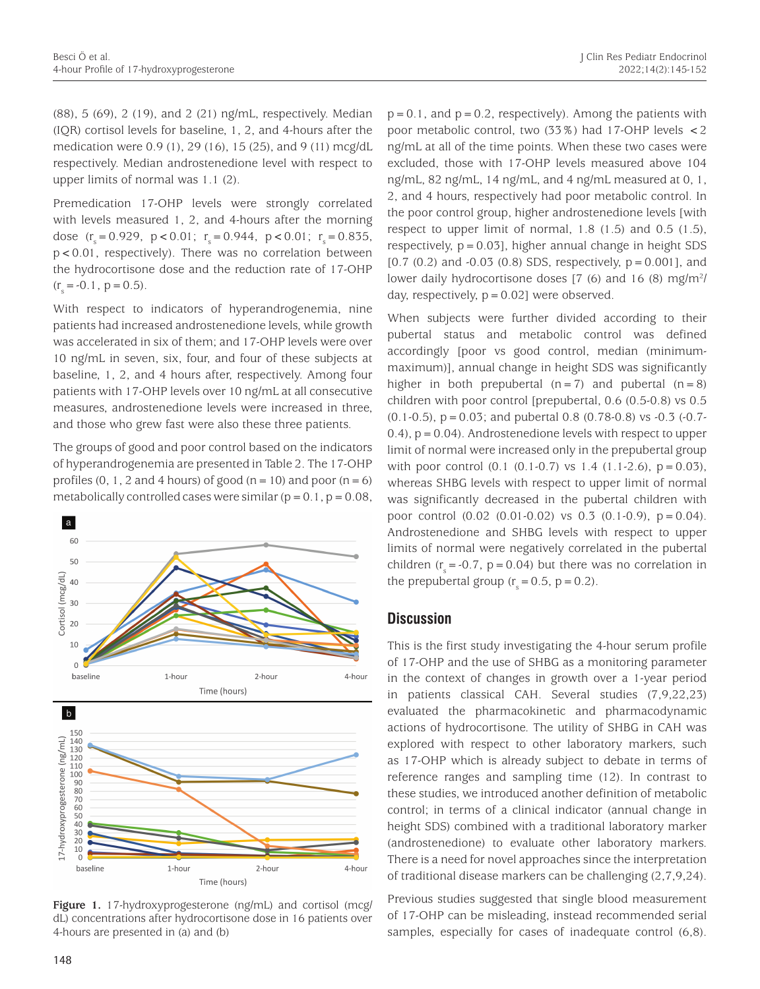(88), 5 (69), 2 (19), and 2 (21) ng/mL, respectively. Median (IQR) cortisol levels for baseline, 1, 2, and 4-hours after the medication were 0.9 (1), 29 (16), 15 (25), and 9 (11) mcg/dL respectively. Median androstenedione level with respect to upper limits of normal was 1.1 (2).

Premedication 17-OHP levels were strongly correlated with levels measured 1, 2, and 4-hours after the morning dose  $(r<sub>s</sub> = 0.929, p < 0.01; r<sub>s</sub> = 0.944, p < 0.01; r<sub>s</sub> = 0.835,$ p<0.01, respectively). There was no correlation between the hydrocortisone dose and the reduction rate of 17-OHP  $(r<sub>s</sub> = -0.1, p = 0.5).$ 

With respect to indicators of hyperandrogenemia, nine patients had increased androstenedione levels, while growth was accelerated in six of them; and 17-OHP levels were over 10 ng/mL in seven, six, four, and four of these subjects at baseline, 1, 2, and 4 hours after, respectively. Among four patients with 17-OHP levels over 10 ng/mL at all consecutive measures, androstenedione levels were increased in three, and those who grew fast were also these three patients.

The groups of good and poor control based on the indicators of hyperandrogenemia are presented in Table 2. The 17-OHP profiles  $(0, 1, 2, 4)$  hours) of good  $(n=10)$  and poor  $(n=6)$ metabolically controlled cases were similar  $(p=0.1, p=0.08,$ 



**Figure 1.** 17-hydroxyprogesterone (ng/mL) and cortisol (mcg/ dL) concentrations after hydrocortisone dose in 16 patients over 4-hours are presented in (a) and (b)

 $p=0.1$ , and  $p=0.2$ , respectively). Among the patients with poor metabolic control, two (33%) had 17-OHP levels <2 ng/mL at all of the time points. When these two cases were excluded, those with 17-OHP levels measured above 104 ng/mL, 82 ng/mL, 14 ng/mL, and 4 ng/mL measured at 0, 1, 2, and 4 hours, respectively had poor metabolic control. In the poor control group, higher androstenedione levels [with respect to upper limit of normal, 1.8 (1.5) and 0.5 (1.5), respectively, p=0.03], higher annual change in height SDS  $[0.7 (0.2)$  and  $-0.03 (0.8)$  SDS, respectively,  $p = 0.001$ ], and lower daily hydrocortisone doses [7 (6) and 16 (8) mg/m<sup>2</sup>/ day, respectively,  $p = 0.02$ ] were observed.

When subjects were further divided according to their pubertal status and metabolic control was defined accordingly [poor vs good control, median (minimummaximum)], annual change in height SDS was significantly higher in both prepubertal  $(n=7)$  and pubertal  $(n=8)$ children with poor control [prepubertal, 0.6 (0.5-0.8) vs 0.5 (0.1-0.5), p=0.03; and pubertal 0.8 (0.78-0.8) vs -0.3 (-0.7-  $(0.4)$ ,  $p = 0.04$ ). Androstenedione levels with respect to upper limit of normal were increased only in the prepubertal group with poor control  $(0.1 \t(0.1-0.7)$  vs 1.4  $(1.1-2.6)$ , p = 0.03), whereas SHBG levels with respect to upper limit of normal was significantly decreased in the pubertal children with poor control  $(0.02 \ (0.01-0.02)$  vs  $0.3 \ (0.1-0.9)$ ,  $p = 0.04$ ). Androstenedione and SHBG levels with respect to upper limits of normal were negatively correlated in the pubertal children  $(r_s = -0.7, p = 0.04)$  but there was no correlation in the prepubertal group  $(r<sub>s</sub> = 0.5, p = 0.2)$ .

## **Discussion**

This is the first study investigating the 4-hour serum profile of 17-OHP and the use of SHBG as a monitoring parameter in the context of changes in growth over a 1-year period in patients classical CAH. Several studies (7,9,22,23) evaluated the pharmacokinetic and pharmacodynamic actions of hydrocortisone. The utility of SHBG in CAH was explored with respect to other laboratory markers, such as 17-OHP which is already subject to debate in terms of reference ranges and sampling time (12). In contrast to these studies, we introduced another definition of metabolic control; in terms of a clinical indicator (annual change in height SDS) combined with a traditional laboratory marker (androstenedione) to evaluate other laboratory markers. There is a need for novel approaches since the interpretation of traditional disease markers can be challenging (2,7,9,24).

Previous studies suggested that single blood measurement of 17-OHP can be misleading, instead recommended serial samples, especially for cases of inadequate control (6,8).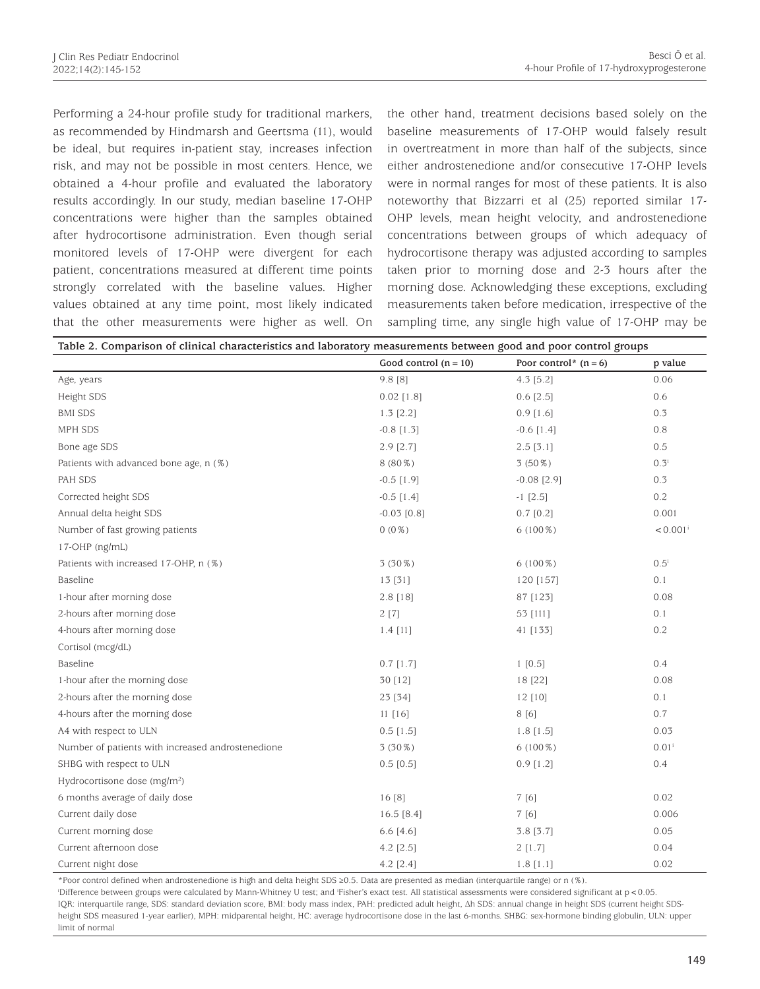Performing a 24-hour profile study for traditional markers, as recommended by Hindmarsh and Geertsma (11), would be ideal, but requires in-patient stay, increases infection risk, and may not be possible in most centers. Hence, we obtained a 4-hour profile and evaluated the laboratory results accordingly. In our study, median baseline 17-OHP concentrations were higher than the samples obtained after hydrocortisone administration. Even though serial monitored levels of 17-OHP were divergent for each patient, concentrations measured at different time points strongly correlated with the baseline values. Higher values obtained at any time point, most likely indicated that the other measurements were higher as well. On

the other hand, treatment decisions based solely on the baseline measurements of 17-OHP would falsely result in overtreatment in more than half of the subjects, since either androstenedione and/or consecutive 17-OHP levels were in normal ranges for most of these patients. It is also noteworthy that Bizzarri et al (25) reported similar 17- OHP levels, mean height velocity, and androstenedione concentrations between groups of which adequacy of hydrocortisone therapy was adjusted according to samples taken prior to morning dose and 2-3 hours after the morning dose. Acknowledging these exceptions, excluding measurements taken before medication, irrespective of the sampling time, any single high value of 17-OHP may be

| Table 2. Comparison of clinical characteristics and laboratory measurements between good and poor control groups |                         |                         |                        |  |  |  |  |  |  |
|------------------------------------------------------------------------------------------------------------------|-------------------------|-------------------------|------------------------|--|--|--|--|--|--|
|                                                                                                                  | Good control $(n = 10)$ | Poor control* $(n = 6)$ | p value                |  |  |  |  |  |  |
| Age, years                                                                                                       | 9.8 [8]                 | $4.3$ [5.2]             | 0.06                   |  |  |  |  |  |  |
| Height SDS                                                                                                       | $0.02$ [1.8]            | $0.6$ [ $2.5$ ]         | 0.6                    |  |  |  |  |  |  |
| <b>BMI SDS</b>                                                                                                   | $1.3$ [2.2]             | $0.9$ [1.6]             | 0.3                    |  |  |  |  |  |  |
| MPH SDS                                                                                                          | $-0.8$ [1.3]            | $-0.6$ [1.4]            | 0.8                    |  |  |  |  |  |  |
| Bone age SDS                                                                                                     | $2.9$ [ $2.7$ ]         | $2.5$ [3.1]             | 0.5                    |  |  |  |  |  |  |
| Patients with advanced bone age, n (%)                                                                           | 8 (80%)                 | $3(50\%)$               | $0.3^{i}$              |  |  |  |  |  |  |
| PAH SDS                                                                                                          | $-0.5$ [1.9]            | $-0.08$ [2.9]           | 0.3                    |  |  |  |  |  |  |
| Corrected height SDS                                                                                             | $-0.5$ [1.4]            | $-1$ [2.5]              | 0.2                    |  |  |  |  |  |  |
| Annual delta height SDS                                                                                          | $-0.03$ [0.8]           | $0.7$ [0.2]             | 0.001                  |  |  |  |  |  |  |
| Number of fast growing patients                                                                                  | $0(0\%)$                | $6(100\%)$              | $< 0.001$ <sup>i</sup> |  |  |  |  |  |  |
| 17-OHP (ng/mL)                                                                                                   |                         |                         |                        |  |  |  |  |  |  |
| Patients with increased 17-OHP, n (%)                                                                            | 3 (30%)                 | $6(100\%)$              | $0.5^{\mathrm{i}}$     |  |  |  |  |  |  |
| Baseline                                                                                                         | 13[31]                  | 120 [157]               | 0.1                    |  |  |  |  |  |  |
| 1-hour after morning dose                                                                                        | $2.8$ [18]              | 87 [123]                | 0.08                   |  |  |  |  |  |  |
| 2-hours after morning dose                                                                                       | 2[7]                    | 53 [111]                | 0.1                    |  |  |  |  |  |  |
| 4-hours after morning dose                                                                                       | $1.4$ [11]              | 41 [133]                | $0.2\,$                |  |  |  |  |  |  |
| Cortisol (mcg/dL)                                                                                                |                         |                         |                        |  |  |  |  |  |  |
| Baseline                                                                                                         | $0.7$ [1.7]             | 1 [0.5]                 | 0.4                    |  |  |  |  |  |  |
| 1-hour after the morning dose                                                                                    | 30 [12]                 | 18 [22]                 | 0.08                   |  |  |  |  |  |  |
| 2-hours after the morning dose                                                                                   | 23 [34]                 | 12 [10]                 | 0.1                    |  |  |  |  |  |  |
| 4-hours after the morning dose                                                                                   | 11 [16]                 | 8[6]                    | 0.7                    |  |  |  |  |  |  |
| A4 with respect to ULN                                                                                           | $0.5$ [1.5]             | $1.8$ [1.5]             | 0.03                   |  |  |  |  |  |  |
| Number of patients with increased androstenedione                                                                | $3(30\%)$               | $6(100\%)$              | $0.01^{i}$             |  |  |  |  |  |  |
| SHBG with respect to ULN                                                                                         | $0.5$ [0.5]             | $0.9$ [1.2]             | 0.4                    |  |  |  |  |  |  |
| Hydrocortisone dose (mg/m <sup>2</sup> )                                                                         |                         |                         |                        |  |  |  |  |  |  |
| 6 months average of daily dose                                                                                   | 16[8]                   | 7 [6]                   | 0.02                   |  |  |  |  |  |  |
| Current daily dose                                                                                               | $16.5$ [8.4]            | 7 [6]                   | 0.006                  |  |  |  |  |  |  |
| Current morning dose                                                                                             | 6.6 [4.6]               | 3.8 [3.7]               | 0.05                   |  |  |  |  |  |  |
| Current afternoon dose                                                                                           | 4.2 [2.5]               | 2[1.7]                  | 0.04                   |  |  |  |  |  |  |
| Current night dose                                                                                               | $4.2$ [2.4]             | $1.8$ [1.1]             | 0.02                   |  |  |  |  |  |  |

\*Poor control defined when androstenedione is high and delta height SDS ≥0.5. Data are presented as median (interquartile range) or n (%).

i Difference between groups were calculated by Mann-Whitney U test; and i Fisher's exact test. All statistical assessments were considered significant at p<0.05. IQR: interquartile range, SDS: standard deviation score, BMI: body mass index, PAH: predicted adult height, Δh SDS: annual change in height SDS (current height SDSheight SDS measured 1-year earlier), MPH: midparental height, HC: average hydrocortisone dose in the last 6-months. SHBG: sex-hormone binding globulin, ULN: upper limit of normal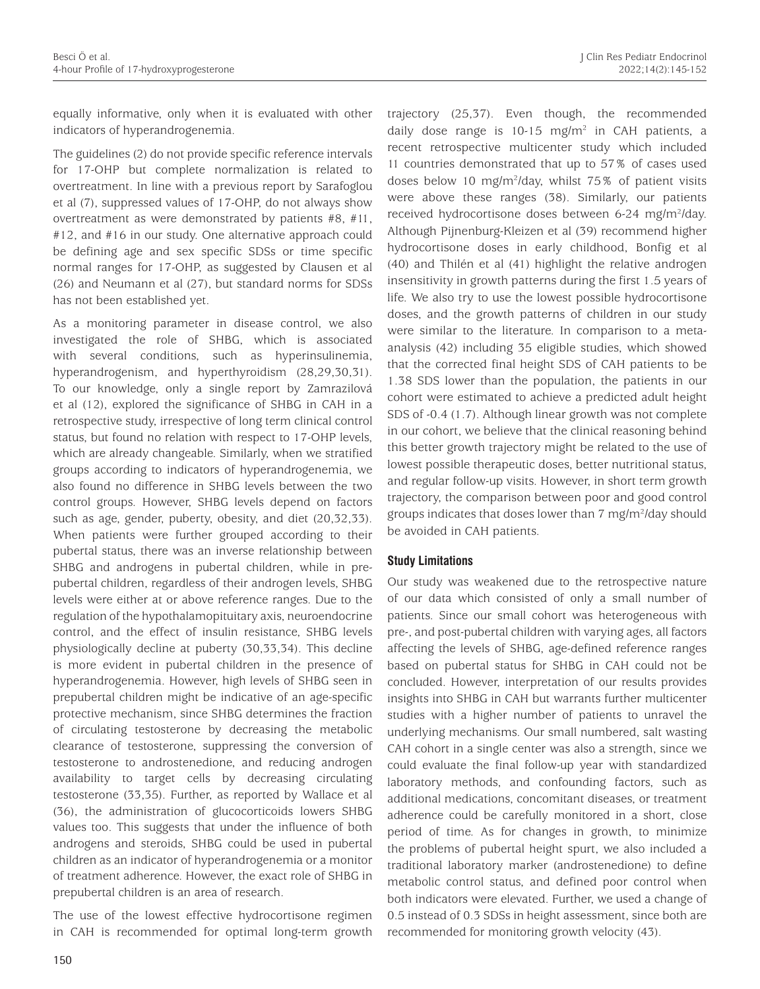equally informative, only when it is evaluated with other indicators of hyperandrogenemia.

The guidelines (2) do not provide specific reference intervals for 17-OHP but complete normalization is related to overtreatment. In line with a previous report by Sarafoglou et al (7), suppressed values of 17-OHP, do not always show overtreatment as were demonstrated by patients #8, #11, #12, and #16 in our study. One alternative approach could be defining age and sex specific SDSs or time specific normal ranges for 17-OHP, as suggested by Clausen et al (26) and Neumann et al (27), but standard norms for SDSs has not been established yet.

As a monitoring parameter in disease control, we also investigated the role of SHBG, which is associated with several conditions, such as hyperinsulinemia, hyperandrogenism, and hyperthyroidism (28,29,30,31). To our knowledge, only a single report by Zamrazilová et al (12), explored the significance of SHBG in CAH in a retrospective study, irrespective of long term clinical control status, but found no relation with respect to 17-OHP levels, which are already changeable. Similarly, when we stratified groups according to indicators of hyperandrogenemia, we also found no difference in SHBG levels between the two control groups. However, SHBG levels depend on factors such as age, gender, puberty, obesity, and diet (20,32,33). When patients were further grouped according to their pubertal status, there was an inverse relationship between SHBG and androgens in pubertal children, while in prepubertal children, regardless of their androgen levels, SHBG levels were either at or above reference ranges. Due to the regulation of the hypothalamopituitary axis, neuroendocrine control, and the effect of insulin resistance, SHBG levels physiologically decline at puberty (30,33,34). This decline is more evident in pubertal children in the presence of hyperandrogenemia. However, high levels of SHBG seen in prepubertal children might be indicative of an age-specific protective mechanism, since SHBG determines the fraction of circulating testosterone by decreasing the metabolic clearance of testosterone, suppressing the conversion of testosterone to androstenedione, and reducing androgen availability to target cells by decreasing circulating testosterone (33,35). Further, as reported by Wallace et al (36), the administration of glucocorticoids lowers SHBG values too. This suggests that under the influence of both androgens and steroids, SHBG could be used in pubertal children as an indicator of hyperandrogenemia or a monitor of treatment adherence. However, the exact role of SHBG in prepubertal children is an area of research.

The use of the lowest effective hydrocortisone regimen in CAH is recommended for optimal long-term growth trajectory (25,37). Even though, the recommended daily dose range is  $10-15$  mg/m<sup>2</sup> in CAH patients, a recent retrospective multicenter study which included 11 countries demonstrated that up to 57% of cases used doses below 10 mg/m2 /day, whilst 75% of patient visits were above these ranges (38). Similarly, our patients received hydrocortisone doses between 6-24 mg/m<sup>2</sup>/day. Although Pijnenburg-Kleizen et al (39) recommend higher hydrocortisone doses in early childhood, Bonfig et al (40) and Thilén et al (41) highlight the relative androgen insensitivity in growth patterns during the first 1.5 years of life. We also try to use the lowest possible hydrocortisone doses, and the growth patterns of children in our study were similar to the literature. In comparison to a metaanalysis (42) including 35 eligible studies, which showed that the corrected final height SDS of CAH patients to be 1.38 SDS lower than the population, the patients in our cohort were estimated to achieve a predicted adult height SDS of -0.4 (1.7). Although linear growth was not complete in our cohort, we believe that the clinical reasoning behind this better growth trajectory might be related to the use of lowest possible therapeutic doses, better nutritional status, and regular follow-up visits. However, in short term growth trajectory, the comparison between poor and good control groups indicates that doses lower than 7 mg/m<sup>2</sup>/day should be avoided in CAH patients.

#### **Study Limitations**

Our study was weakened due to the retrospective nature of our data which consisted of only a small number of patients. Since our small cohort was heterogeneous with pre-, and post-pubertal children with varying ages, all factors affecting the levels of SHBG, age-defined reference ranges based on pubertal status for SHBG in CAH could not be concluded. However, interpretation of our results provides insights into SHBG in CAH but warrants further multicenter studies with a higher number of patients to unravel the underlying mechanisms. Our small numbered, salt wasting CAH cohort in a single center was also a strength, since we could evaluate the final follow-up year with standardized laboratory methods, and confounding factors, such as additional medications, concomitant diseases, or treatment adherence could be carefully monitored in a short, close period of time. As for changes in growth, to minimize the problems of pubertal height spurt, we also included a traditional laboratory marker (androstenedione) to define metabolic control status, and defined poor control when both indicators were elevated. Further, we used a change of 0.5 instead of 0.3 SDSs in height assessment, since both are recommended for monitoring growth velocity (43).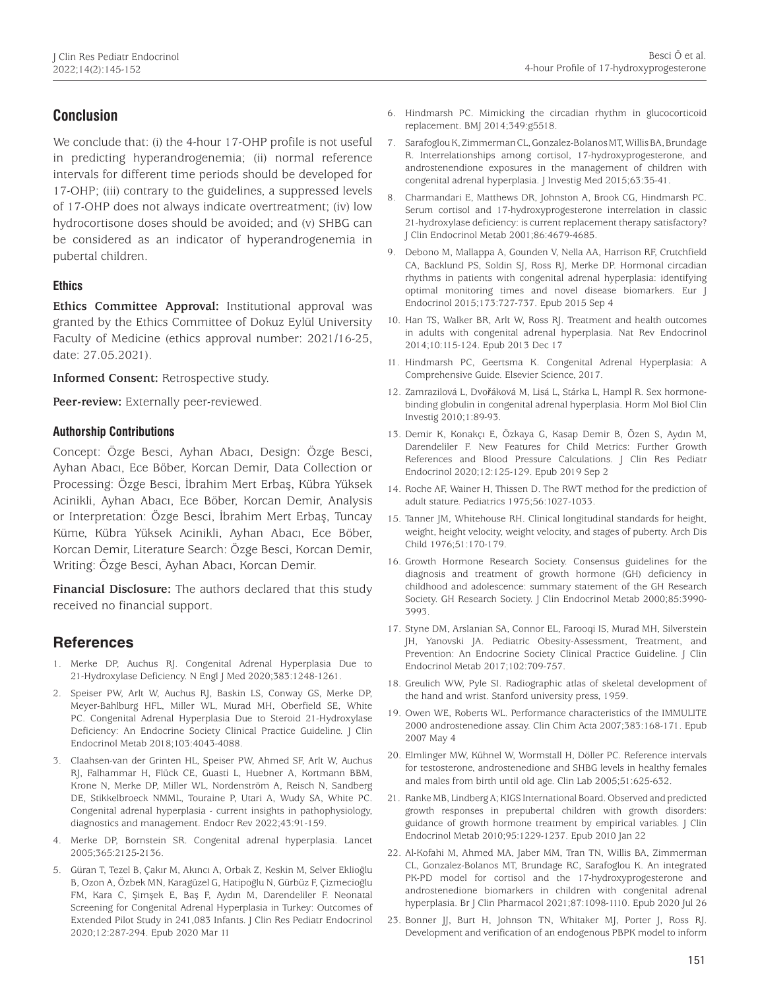# **Conclusion**

We conclude that: (i) the 4-hour 17-OHP profile is not useful in predicting hyperandrogenemia; (ii) normal reference intervals for different time periods should be developed for 17-OHP; (iii) contrary to the guidelines, a suppressed levels of 17-OHP does not always indicate overtreatment; (iv) low hydrocortisone doses should be avoided; and (v) SHBG can be considered as an indicator of hyperandrogenemia in pubertal children.

## **Ethics**

**Ethics Committee Approval:** Institutional approval was granted by the Ethics Committee of Dokuz Eylül University Faculty of Medicine (ethics approval number: 2021/16-25, date: 27.05.2021).

**Informed Consent:** Retrospective study.

**Peer-review:** Externally peer-reviewed.

### **Authorship Contributions**

Concept: Özge Besci, Ayhan Abacı, Design: Özge Besci, Ayhan Abacı, Ece Böber, Korcan Demir, Data Collection or Processing: Özge Besci, İbrahim Mert Erbaş, Kübra Yüksek Acinikli, Ayhan Abacı, Ece Böber, Korcan Demir, Analysis or Interpretation: Özge Besci, İbrahim Mert Erbaş, Tuncay Küme, Kübra Yüksek Acinikli, Ayhan Abacı, Ece Böber, Korcan Demir, Literature Search: Özge Besci, Korcan Demir, Writing: Özge Besci, Ayhan Abacı, Korcan Demir.

**Financial Disclosure:** The authors declared that this study received no financial support.

## **References**

- 1. Merke DP, Auchus RJ. Congenital Adrenal Hyperplasia Due to 21-Hydroxylase Deficiency. N Engl J Med 2020;383:1248-1261.
- 2. Speiser PW, Arlt W, Auchus RJ, Baskin LS, Conway GS, Merke DP, Meyer-Bahlburg HFL, Miller WL, Murad MH, Oberfield SE, White PC. Congenital Adrenal Hyperplasia Due to Steroid 21-Hydroxylase Deficiency: An Endocrine Society Clinical Practice Guideline. J Clin Endocrinol Metab 2018;103:4043-4088.
- 3. Claahsen-van der Grinten HL, Speiser PW, Ahmed SF, Arlt W, Auchus RJ, Falhammar H, Flück CE, Guasti L, Huebner A, Kortmann BBM, Krone N, Merke DP, Miller WL, Nordenström A, Reisch N, Sandberg DE, Stikkelbroeck NMML, Touraine P, Utari A, Wudy SA, White PC. Congenital adrenal hyperplasia - current insights in pathophysiology, diagnostics and management. Endocr Rev 2022;43:91-159.
- 4. Merke DP, Bornstein SR. Congenital adrenal hyperplasia. Lancet 2005;365:2125-2136.
- 5. Güran T, Tezel B, Çakır M, Akıncı A, Orbak Z, Keskin M, Selver Eklioğlu B, Ozon A, Özbek MN, Karagüzel G, Hatipoğlu N, Gürbüz F, Çizmecioğlu FM, Kara C, Şimşek E, Baş F, Aydın M, Darendeliler F. Neonatal Screening for Congenital Adrenal Hyperplasia in Turkey: Outcomes of Extended Pilot Study in 241,083 Infants. J Clin Res Pediatr Endocrinol 2020;12:287-294. Epub 2020 Mar 11
- 6. Hindmarsh PC. Mimicking the circadian rhythm in glucocorticoid replacement. BMJ 2014;349:g5518.
- 7. Sarafoglou K, Zimmerman CL, Gonzalez-Bolanos MT, Willis BA, Brundage R. Interrelationships among cortisol, 17-hydroxyprogesterone, and androstenendione exposures in the management of children with congenital adrenal hyperplasia. J Investig Med 2015;63:35-41.
- 8. Charmandari E, Matthews DR, Johnston A, Brook CG, Hindmarsh PC. Serum cortisol and 17-hydroxyprogesterone interrelation in classic 21-hydroxylase deficiency: is current replacement therapy satisfactory? J Clin Endocrinol Metab 2001;86:4679-4685.
- 9. Debono M, Mallappa A, Gounden V, Nella AA, Harrison RF, Crutchfield CA, Backlund PS, Soldin SJ, Ross RJ, Merke DP. Hormonal circadian rhythms in patients with congenital adrenal hyperplasia: identifying optimal monitoring times and novel disease biomarkers. Eur J Endocrinol 2015;173:727-737. Epub 2015 Sep 4
- 10. Han TS, Walker BR, Arlt W, Ross RJ. Treatment and health outcomes in adults with congenital adrenal hyperplasia. Nat Rev Endocrinol 2014;10:115-124. Epub 2013 Dec 17
- 11. Hindmarsh PC, Geertsma K. Congenital Adrenal Hyperplasia: A Comprehensive Guide. Elsevier Science, 2017.
- 12. Zamrazilová L, Dvořáková M, Lisá L, Stárka L, Hampl R. Sex hormonebinding globulin in congenital adrenal hyperplasia. Horm Mol Biol Clin Investig 2010;1:89-93.
- 13. Demir K, Konakçı E, Özkaya G, Kasap Demir B, Özen S, Aydın M, Darendeliler F. New Features for Child Metrics: Further Growth References and Blood Pressure Calculations. J Clin Res Pediatr Endocrinol 2020;12:125-129. Epub 2019 Sep 2
- 14. Roche AF, Wainer H, Thissen D. The RWT method for the prediction of adult stature. Pediatrics 1975;56:1027-1033.
- 15. Tanner JM, Whitehouse RH. Clinical longitudinal standards for height, weight, height velocity, weight velocity, and stages of puberty. Arch Dis Child 1976;51:170-179.
- 16. Growth Hormone Research Society. Consensus guidelines for the diagnosis and treatment of growth hormone (GH) deficiency in childhood and adolescence: summary statement of the GH Research Society. GH Research Society. J Clin Endocrinol Metab 2000;85:3990- 3993.
- 17. Styne DM, Arslanian SA, Connor EL, Farooqi IS, Murad MH, Silverstein JH, Yanovski JA. Pediatric Obesity-Assessment, Treatment, and Prevention: An Endocrine Society Clinical Practice Guideline. J Clin Endocrinol Metab 2017;102:709-757.
- 18. Greulich WW, Pyle SI. Radiographic atlas of skeletal development of the hand and wrist. Stanford university press, 1959.
- 19. Owen WE, Roberts WL. Performance characteristics of the IMMULITE 2000 androstenedione assay. Clin Chim Acta 2007;383:168-171. Epub 2007 May 4
- 20. Elmlinger MW, Kühnel W, Wormstall H, Döller PC. Reference intervals for testosterone, androstenedione and SHBG levels in healthy females and males from birth until old age. Clin Lab 2005;51:625-632.
- 21. Ranke MB, Lindberg A; KIGS International Board. Observed and predicted growth responses in prepubertal children with growth disorders: guidance of growth hormone treatment by empirical variables. J Clin Endocrinol Metab 2010;95:1229-1237. Epub 2010 Jan 22
- 22. Al-Kofahi M, Ahmed MA, Jaber MM, Tran TN, Willis BA, Zimmerman CL, Gonzalez-Bolanos MT, Brundage RC, Sarafoglou K. An integrated PK-PD model for cortisol and the 17-hydroxyprogesterone and androstenedione biomarkers in children with congenital adrenal hyperplasia. Br J Clin Pharmacol 2021;87:1098-1110. Epub 2020 Jul 26
- 23. Bonner JJ, Burt H, Johnson TN, Whitaker MJ, Porter J, Ross RJ. Development and verification of an endogenous PBPK model to inform